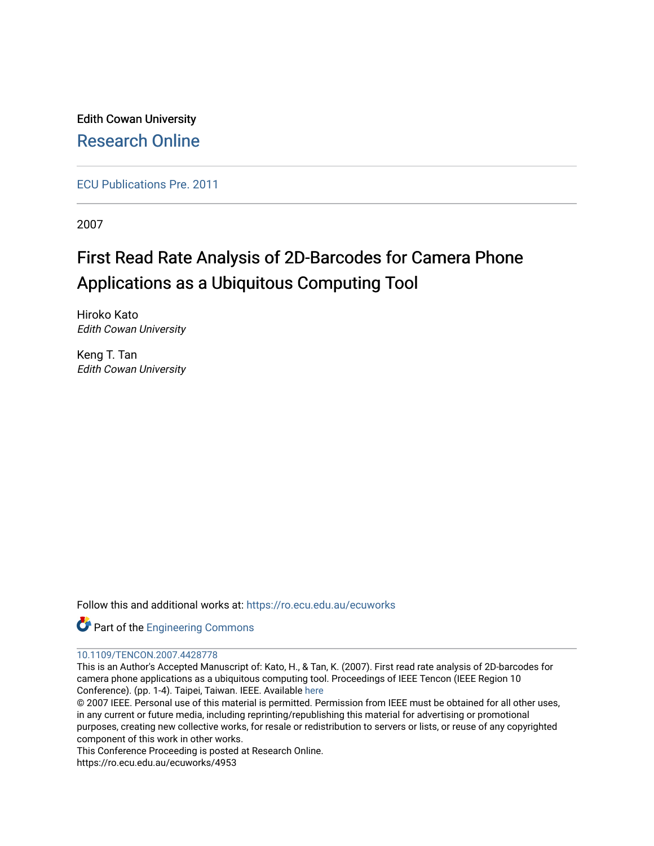Edith Cowan University [Research Online](https://ro.ecu.edu.au/) 

[ECU Publications Pre. 2011](https://ro.ecu.edu.au/ecuworks)

2007

# First Read Rate Analysis of 2D-Barcodes for Camera Phone Applications as a Ubiquitous Computing Tool

Hiroko Kato Edith Cowan University

Keng T. Tan Edith Cowan University

Follow this and additional works at: [https://ro.ecu.edu.au/ecuworks](https://ro.ecu.edu.au/ecuworks?utm_source=ro.ecu.edu.au%2Fecuworks%2F4953&utm_medium=PDF&utm_campaign=PDFCoverPages) 

Part of the [Engineering Commons](http://network.bepress.com/hgg/discipline/217?utm_source=ro.ecu.edu.au%2Fecuworks%2F4953&utm_medium=PDF&utm_campaign=PDFCoverPages)

# [10.1109/TENCON.2007.4428778](http://dx.doi.org/10.1109/TENCON.2007.4428778)

This is an Author's Accepted Manuscript of: Kato, H., & Tan, K. (2007). First read rate analysis of 2D-barcodes for camera phone applications as a ubiquitous computing tool. Proceedings of IEEE Tencon (IEEE Region 10 Conference). (pp. 1-4). Taipei, Taiwan. IEEE. Available [here](http://dx.doi.org/10.1109/TENCON.2007.4428778)

© 2007 IEEE. Personal use of this material is permitted. Permission from IEEE must be obtained for all other uses, in any current or future media, including reprinting/republishing this material for advertising or promotional purposes, creating new collective works, for resale or redistribution to servers or lists, or reuse of any copyrighted component of this work in other works.

This Conference Proceeding is posted at Research Online.

https://ro.ecu.edu.au/ecuworks/4953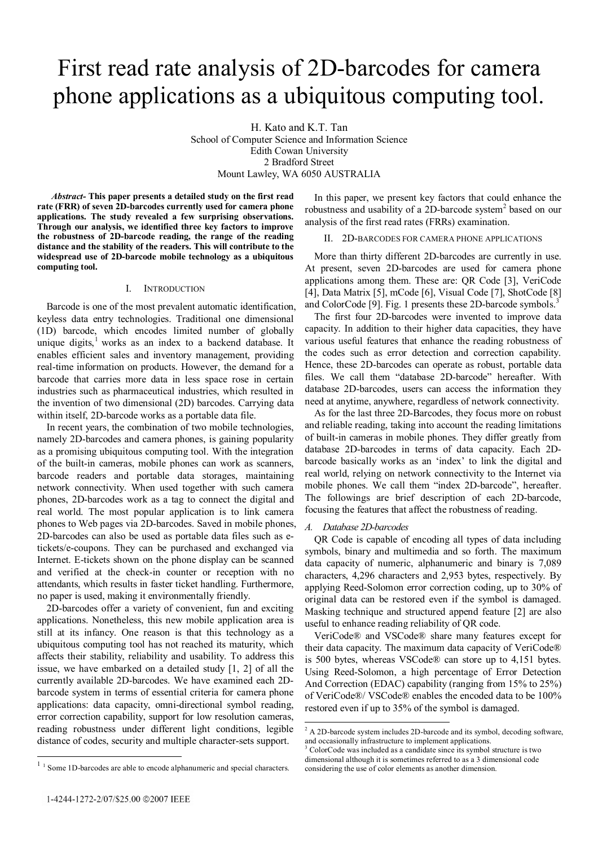# First read rate analysis of 2D-barcodes for camera phone applications as a ubiquitous computing tool.

H. Kato and K.T. Tan School of Computer Science and Information Science Edith Cowan University 2 Bradford Street Mount Lawley, WA 6050 AUSTRALIA

*Abstract-* **This paper presents a detailed study on the first read rate (FRR) of seven 2D-barcodes currently used for camera phone applications. The study revealed a few surprising observations. Through our analysis, we identified three key factors to improve the robustness of 2D-barcode reading, the range of the reading distance and the stability of the readers. This will contribute to the widespread use of 2D-barcode mobile technology as a ubiquitous computing tool.** 

# I. INTRODUCTION

Barcode is one of the most prevalent automatic identification, keyless data entry technologies. Traditional one dimensional (1D) barcode, which encodes limited number of globally unique digits, $<sup>1</sup>$  works as an index to a backend database. It</sup> enables efficient sales and inventory management, providing real-time information on products. However, the demand for a barcode that carries more data in less space rose in certain industries such as pharmaceutical industries, which resulted in the invention of two dimensional (2D) barcodes. Carrying data within itself, 2D-barcode works as a portable data file.

In recent years, the combination of two mobile technologies, namely 2D-barcodes and camera phones, is gaining popularity as a promising ubiquitous computing tool. With the integration of the built-in cameras, mobile phones can work as scanners, barcode readers and portable data storages, maintaining network connectivity. When used together with such camera phones, 2D-barcodes work as a tag to connect the digital and real world. The most popular application is to link camera phones to Web pages via 2D-barcodes. Saved in mobile phones, 2D-barcodes can also be used as portable data files such as etickets/e-coupons. They can be purchased and exchanged via Internet. E-tickets shown on the phone display can be scanned and verified at the check-in counter or reception with no attendants, which results in faster ticket handling. Furthermore, no paper is used, making it environmentally friendly.

2D-barcodes offer a variety of convenient, fun and exciting applications. Nonetheless, this new mobile application area is still at its infancy. One reason is that this technology as a ubiquitous computing tool has not reached its maturity, which affects their stability, reliability and usability. To address this issue, we have embarked on a detailed study [1, 2] of all the currently available 2D-barcodes. We have examined each 2Dbarcode system in terms of essential criteria for camera phone applications: data capacity, omni-directional symbol reading, error correction capability, support for low resolution cameras, reading robustness under different light conditions, legible distance of codes, security and multiple character-sets support.

In this paper, we present key factors that could enhance the robustness and usability of a 2D-barcode system<sup>2</sup> based on our analysis of the first read rates (FRRs) examination.

# II. 2D-BARCODES FOR CAMERA PHONE APPLICATIONS

More than thirty different 2D-barcodes are currently in use. At present, seven 2D-barcodes are used for camera phone applications among them. These are: QR Code [3], VeriCode [4], Data Matrix [5], mCode [6], Visual Code [7], ShotCode [8] and ColorCode [9]. Fig. 1 presents these 2D-barcode symbols.<sup>3</sup>

The first four 2D-barcodes were invented to improve data capacity. In addition to their higher data capacities, they have various useful features that enhance the reading robustness of the codes such as error detection and correction capability. Hence, these 2D-barcodes can operate as robust, portable data files. We call them "database 2D-barcode" hereafter. With database 2D-barcodes, users can access the information they need at anytime, anywhere, regardless of network connectivity.

As for the last three 2D-Barcodes, they focus more on robust and reliable reading, taking into account the reading limitations of built-in cameras in mobile phones. They differ greatly from database 2D-barcodes in terms of data capacity. Each 2Dbarcode basically works as an 'index' to link the digital and real world, relying on network connectivity to the Internet via mobile phones. We call them "index 2D-barcode", hereafter. The followings are brief description of each 2D-barcode, focusing the features that affect the robustness of reading.

# *A. Database 2D-barcodes*

QR Code is capable of encoding all types of data including symbols, binary and multimedia and so forth. The maximum data capacity of numeric, alphanumeric and binary is 7,089 characters, 4,296 characters and 2,953 bytes, respectively. By applying Reed-Solomon error correction coding, up to 30% of original data can be restored even if the symbol is damaged. Masking technique and structured append feature [2] are also useful to enhance reading reliability of QR code.

VeriCode® and VSCode® share many features except for their data capacity. The maximum data capacity of VeriCode® is 500 bytes, whereas VSCode® can store up to 4,151 bytes. Using Reed-Solomon, a high percentage of Error Detection And Correction (EDAC) capability (ranging from 15% to 25%) of VeriCode®/ VSCode® enables the encoded data to be 100% restored even if up to 35% of the symbol is damaged.

l

<sup>&</sup>lt;sup>2</sup> A 2D-barcode system includes 2D-barcode and its symbol, decoding software, and occasionally infrastructure to implement applications.<br> $3 \text{Calardode}$  was included as a condidate since its symbol.

ColorCode was included as a candidate since its symbol structure is two dimensional although it is sometimes referred to as a 3 dimensional code considering the use of color elements as another dimension.

 $11$  Some 1D-barcodes are able to encode alphanumeric and special characters.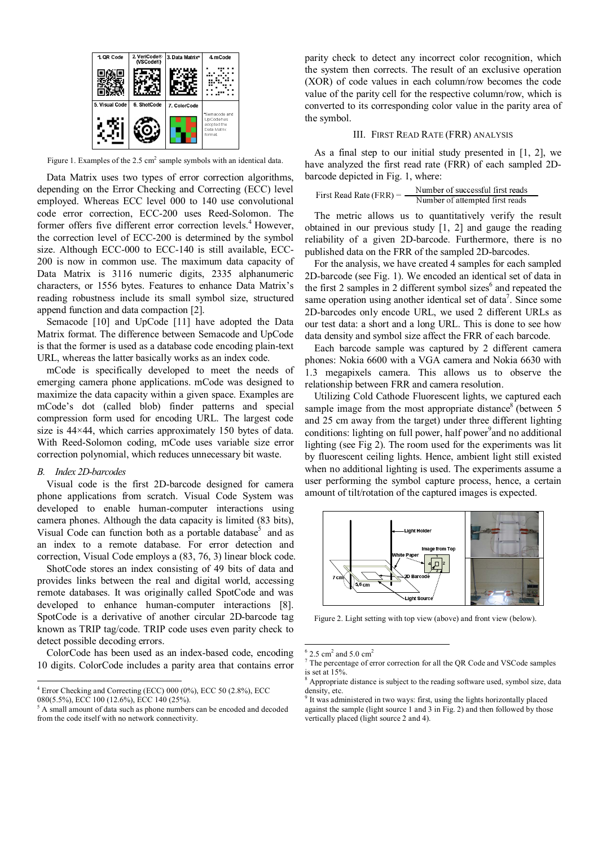

Figure 1. Examples of the  $2.5 \text{ cm}^2$  sample symbols with an identical data.

Data Matrix uses two types of error correction algorithms, depending on the Error Checking and Correcting (ECC) level employed. Whereas ECC level 000 to 140 use convolutional code error correction, ECC-200 uses Reed-Solomon. The former offers five different error correction levels.<sup>4</sup> However, the correction level of ECC-200 is determined by the symbol size. Although ECC-000 to ECC-140 is still available, ECC-200 is now in common use. The maximum data capacity of Data Matrix is 3116 numeric digits, 2335 alphanumeric characters, or 1556 bytes. Features to enhance Data Matrix's reading robustness include its small symbol size, structured append function and data compaction [2].

Semacode [10] and UpCode [11] have adopted the Data Matrix format. The difference between Semacode and UpCode is that the former is used as a database code encoding plain-text URL, whereas the latter basically works as an index code.

mCode is specifically developed to meet the needs of emerging camera phone applications. mCode was designed to maximize the data capacity within a given space. Examples are mCode's dot (called blob) finder patterns and special compression form used for encoding URL. The largest code size is 44×44, which carries approximately 150 bytes of data. With Reed-Solomon coding, mCode uses variable size error correction polynomial, which reduces unnecessary bit waste.

# *B. Index 2D-barcodes*

l

Visual code is the first 2D-barcode designed for camera phone applications from scratch. Visual Code System was developed to enable human-computer interactions using camera phones. Although the data capacity is limited (83 bits), Visual Code can function both as a portable database<sup>5</sup> and as an index to a remote database. For error detection and correction, Visual Code employs a (83, 76, 3) linear block code.

ShotCode stores an index consisting of 49 bits of data and provides links between the real and digital world, accessing remote databases. It was originally called SpotCode and was developed to enhance human-computer interactions [8]. SpotCode is a derivative of another circular 2D-barcode tag known as TRIP tag/code. TRIP code uses even parity check to detect possible decoding errors.

ColorCode has been used as an index-based code, encoding 10 digits. ColorCode includes a parity area that contains error parity check to detect any incorrect color recognition, which the system then corrects. The result of an exclusive operation (XOR) of code values in each column/row becomes the code value of the parity cell for the respective column/row, which is converted to its corresponding color value in the parity area of the symbol.

### III. FIRST READ RATE (FRR) ANALYSIS

As a final step to our initial study presented in [1, 2], we have analyzed the first read rate (FRR) of each sampled 2Dbarcode depicted in Fig. 1, where:

| First Read Rate (FRR) $=$ | Number of successful first reads |
|---------------------------|----------------------------------|
|                           | Number of attempted first reads  |

The metric allows us to quantitatively verify the result obtained in our previous study [1, 2] and gauge the reading reliability of a given 2D-barcode. Furthermore, there is no published data on the FRR of the sampled 2D-barcodes.

For the analysis, we have created 4 samples for each sampled 2D-barcode (see Fig. 1). We encoded an identical set of data in the first 2 samples in 2 different symbol sizes $<sup>6</sup>$  and repeated the</sup> same operation using another identical set of data<sup>7</sup>. Since some 2D-barcodes only encode URL, we used 2 different URLs as our test data: a short and a long URL. This is done to see how data density and symbol size affect the FRR of each barcode.

Each barcode sample was captured by 2 different camera phones: Nokia 6600 with a VGA camera and Nokia 6630 with 1.3 megapixels camera. This allows us to observe the relationship between FRR and camera resolution.

Utilizing Cold Cathode Fluorescent lights, we captured each sample image from the most appropriate distance<sup>8</sup> (between  $5$ and 25 cm away from the target) under three different lighting conditions: lighting on full power, half power<sup>9</sup> and no additional lighting (see Fig 2). The room used for the experiments was lit by fluorescent ceiling lights. Hence, ambient light still existed when no additional lighting is used. The experiments assume a user performing the symbol capture process, hence, a certain amount of tilt/rotation of the captured images is expected.



Figure 2. Light setting with top view (above) and front view (below).

 $\overline{\phantom{a}}$ 

<sup>4</sup> Error Checking and Correcting (ECC) 000 (0%), ECC 50 (2.8%), ECC 080(5.5%), ECC 100 (12.6%), ECC 140 (25%).

<sup>5</sup> A small amount of data such as phone numbers can be encoded and decoded from the code itself with no network connectivity.

<sup>6</sup>  $2.5 \text{ cm}^2$  and  $5.0 \text{ cm}^2$ 

<sup>7</sup> The percentage of error correction for all the QR Code and VSCode samples is set at 15%.

 $8$  Appropriate distance is subject to the reading software used, symbol size, data density, etc.

<sup>9</sup> It was administered in two ways: first, using the lights horizontally placed against the sample (light source 1 and 3 in Fig. 2) and then followed by those vertically placed (light source 2 and 4).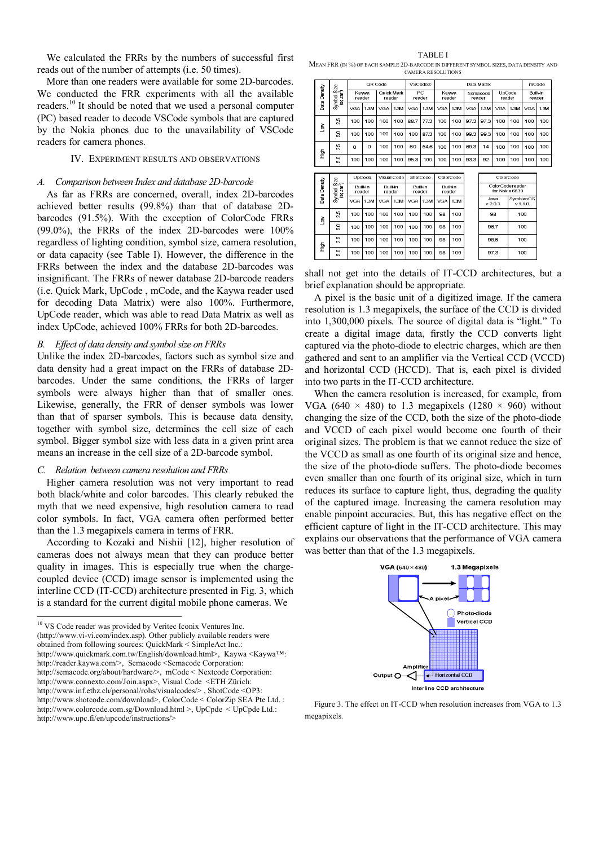We calculated the FRRs by the numbers of successful first reads out of the number of attempts (i.e. 50 times).

More than one readers were available for some 2D-barcodes. We conducted the FRR experiments with all the available readers.10 It should be noted that we used a personal computer (PC) based reader to decode VSCode symbols that are captured by the Nokia phones due to the unavailability of VSCode readers for camera phones.

# IV. EXPERIMENT RESULTS AND OBSERVATIONS

# *A. Comparison between Index and database 2D-barcode*

As far as FRRs are concerned, overall, index 2D-barcodes achieved better results (99.8%) than that of database 2Dbarcodes (91.5%). With the exception of ColorCode FRRs (99.0%), the FRRs of the index 2D-barcodes were 100% regardless of lighting condition, symbol size, camera resolution, or data capacity (see Table I). However, the difference in the FRRs between the index and the database 2D-barcodes was insignificant. The FRRs of newer database 2D-barcode readers (i.e. Quick Mark, UpCode , mCode, and the Kaywa reader used for decoding Data Matrix) were also 100%. Furthermore, UpCode reader, which was able to read Data Matrix as well as index UpCode, achieved 100% FRRs for both 2D-barcodes.

# *B. Effect of data density and symbol size on FRRs*

Unlike the index 2D-barcodes, factors such as symbol size and data density had a great impact on the FRRs of database 2Dbarcodes. Under the same conditions, the FRRs of larger symbols were always higher than that of smaller ones. Likewise, generally, the FRR of denser symbols was lower than that of sparser symbols. This is because data density, together with symbol size, determines the cell size of each symbol. Bigger symbol size with less data in a given print area means an increase in the cell size of a 2D-barcode symbol.

### *C. Relation between camera resolution and FRRs*

l

Higher camera resolution was not very important to read both black/white and color barcodes. This clearly rebuked the myth that we need expensive, high resolution camera to read color symbols. In fact, VGA camera often performed better than the 1.3 megapixels camera in terms of FRR.

According to Kozaki and Nishii [12], higher resolution of cameras does not always mean that they can produce better quality in images. This is especially true when the chargecoupled device (CCD) image sensor is implemented using the interline CCD (IT-CCD) architecture presented in Fig. 3, which is a standard for the current digital mobile phone cameras. We

TABLE I MEAN FRR (IN %) OF EACH SAMPLE 2D-BARCODE IN DIFFERENT SYMBOL SIZES, DATA DENSITY AND CAMERA RESOLUTIONS

|              | Symbol Size<br>(sq.cm <sup>2</sup> )  | OR Code         |                 |                             |             | <b>VSCode®</b><br>Data Matrix |                    |                 |                           |                    |         | mCode            |                                    |                           |      |
|--------------|---------------------------------------|-----------------|-----------------|-----------------------------|-------------|-------------------------------|--------------------|-----------------|---------------------------|--------------------|---------|------------------|------------------------------------|---------------------------|------|
| Data Density |                                       | Kawwa<br>reader |                 | <b>Ouick Mark</b><br>reader |             | PC<br>reader                  |                    | Kawwa<br>reader |                           | Semacode<br>reader |         | UpCode<br>reader |                                    | <b>Built-in</b><br>reader |      |
|              |                                       | <b>VGA</b>      | 1.3M            | <b>VGA</b>                  | 1.3M        | <b>VGA</b>                    | 1.3M               | <b>VGA</b>      | 1.3M                      | <b>VGA</b>         | 1.3M    | <b>VGA</b>       | 1.3M                               | <b>VGA</b>                | 1.3M |
| Š            | 25                                    | 100             | 100             | 100                         | 100         | 88.7                          | 77.3               | 100             | 100                       | 97.3               | 97.3    | 100              | 100                                | 100                       | 100  |
|              | ្ល                                    | 100             | 100             | 100                         | 100         | 100                           | 87.3               | 100             | 100                       | 99.3               | 99.3    | 100              | 100                                | 100                       | 100  |
| <b>High</b>  | 25                                    | 0               | $\Omega$        | 100                         | 100         | 60                            | 54.6               | 100             | 100                       | 69.3               | 14      | 100              | 100                                | 100                       | 100  |
|              | នី                                    | 100             | 100             | 100                         | 100         | 95.3                          | 100                | 100             | 100                       | 93.3               | 92      | 100              | 100                                | 100                       | 100  |
|              |                                       |                 |                 |                             |             |                               |                    |                 |                           |                    |         |                  |                                    |                           |      |
|              |                                       |                 |                 |                             |             |                               |                    |                 |                           |                    |         |                  |                                    |                           |      |
|              |                                       |                 | UpCode          |                             | Visual Code |                               | ShotCode           |                 | ColorCode                 |                    |         | ColorCode        |                                    |                           |      |
|              |                                       | reader          | <b>Built-in</b> | <b>Built-in</b><br>reader   |             |                               | Built-in<br>reader |                 | <b>Built-in</b><br>reader |                    |         |                  | ColorCode reader<br>for Nokia 6630 |                           |      |
| Data Density | Symbol Size<br>$(\mathfrak{sq.cm}^2)$ | <b>VGA</b>      | 1.3M            | <b>VGA</b>                  | 1.3M        | <b>VGA</b>                    | 1.3M               | <b>VGA</b>      | 1.3M                      |                    | v 2.0.3 | Java             |                                    | SymbianOS<br>v 1.1.0      |      |
|              | 25                                    | 100             | 100             | 100                         | 100         | 100                           | 100                | 98              | 100                       |                    |         | 98               |                                    | 100                       |      |
| Š            | នី                                    | 100             | 100             | 100                         | 100         | 100                           | 100                | 98              | 100                       |                    |         | 96.7             |                                    | 100                       |      |
| 与<br>王       | 25                                    | 100             | 100             | 100                         | 100         | 100                           | 100                | 98              | 100                       |                    |         | 98.6             |                                    | 100                       |      |

shall not get into the details of IT-CCD architectures, but a brief explanation should be appropriate.

A pixel is the basic unit of a digitized image. If the camera resolution is 1.3 megapixels, the surface of the CCD is divided into 1,300,000 pixels. The source of digital data is "light." To create a digital image data, firstly the CCD converts light captured via the photo-diode to electric charges, which are then gathered and sent to an amplifier via the Vertical CCD (VCCD) and horizontal CCD (HCCD). That is, each pixel is divided into two parts in the IT-CCD architecture.

When the camera resolution is increased, for example, from VGA (640  $\times$  480) to 1.3 megapixels (1280  $\times$  960) without changing the size of the CCD, both the size of the photo-diode and VCCD of each pixel would become one fourth of their original sizes. The problem is that we cannot reduce the size of the VCCD as small as one fourth of its original size and hence, the size of the photo-diode suffers. The photo-diode becomes even smaller than one fourth of its original size, which in turn reduces its surface to capture light, thus, degrading the quality of the captured image. Increasing the camera resolution may enable pinpoint accuracies. But, this has negative effect on the efficient capture of light in the IT-CCD architecture. This may explains our observations that the performance of VGA camera was better than that of the 1.3 megapixels.



Figure 3. The effect on IT-CCD when resolution increases from VGA to 1.3 megapixels.

<sup>&</sup>lt;sup>10</sup> VS Code reader was provided by Veritec Iconix Ventures Inc. (http://www.vi-vi.com/index.asp). Other publicly available readers were obtained from following sources: QuickMark < SimpleAct Inc.: http://www.quickmark.com.tw/English/download.html>, Kaywa <Kaywa™: http://reader.kaywa.com/>, Semacode <Semacode Corporation: http://semacode.org/about/hardware/>, mCode < Nextcode Corporation: http://www.connexto.com/Join.aspx>, Visual Code <ETH Zürich: http://www.inf.ethz.ch/personal/rohs/visualcodes/> , ShotCode <OP3: http://www.shotcode.com/download>, ColorCode < ColorZip SEA Pte Ltd. : http://www.colorcode.com.sg/Download.html >, UpCpde < UpCpde Ltd.: http://www.upc.fi/en/upcode/instructions/>